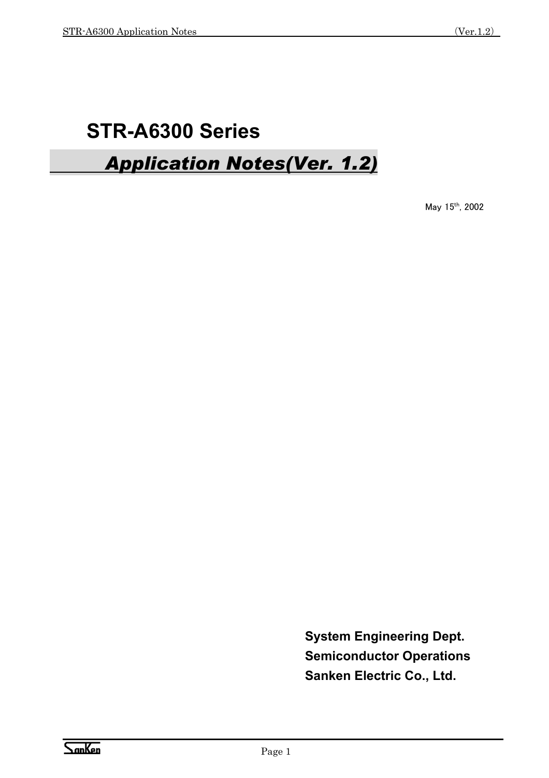# **STR-A6300 Series**

# *Application Notes(Ver. 1.2)*

May 15th, 2002

**System Engineering Dept. Semiconductor Operations Sanken Electric Co., Ltd.**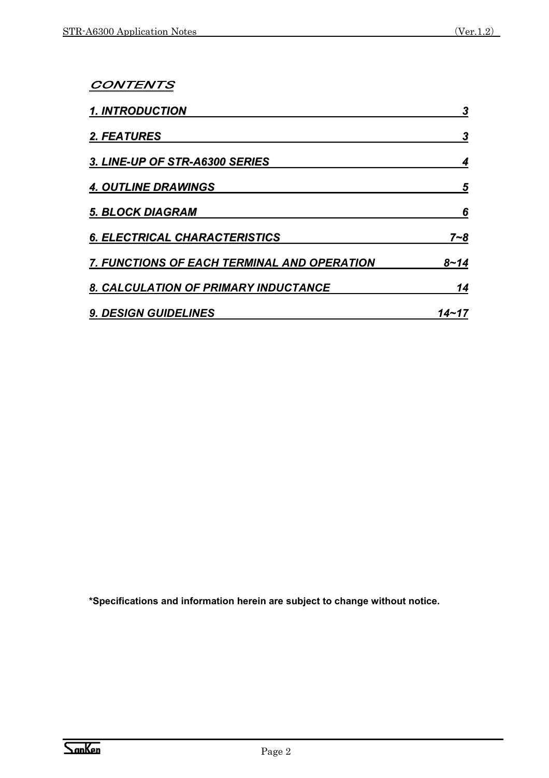#### CONTENTS

| <b>1. INTRODUCTION</b>                             | 3     |
|----------------------------------------------------|-------|
| 2. FEATURES                                        | 3     |
| 3. LINE-UP OF STR-A6300 SERIES                     |       |
| <b>4. OUTLINE DRAWINGS</b>                         | 5     |
| <b>5. BLOCK DIAGRAM</b>                            | 6     |
| <b>6. ELECTRICAL CHARACTERISTICS</b>               | 7∼8   |
| <b>7. FUNCTIONS OF EACH TERMINAL AND OPERATION</b> | 8~14  |
| 8. CALCULATION OF PRIMARY INDUCTANCE               | 14    |
| <b>9. DESIGN GUIDELINES</b>                        | 14~17 |

**\*Specifications and information herein are subject to change without notice.**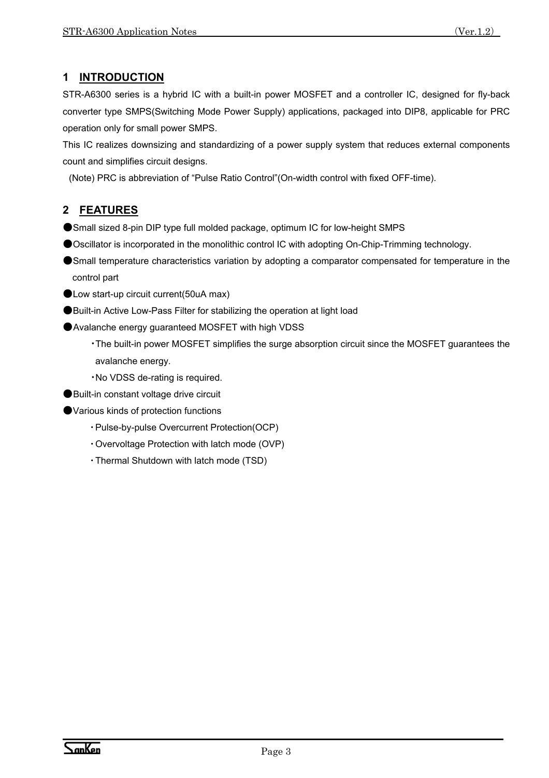STR-A6300 series is a hybrid IC with a built-in power MOSFET and a controller IC, designed for fly-back converter type SMPS(Switching Mode Power Supply) applications, packaged into DIP8, applicable for PRC operation only for small power SMPS.

This IC realizes downsizing and standardizing of a power supply system that reduces external components count and simplifies circuit designs.

(Note) PRC is abbreviation of "Pulse Ratio Control"(On-width control with fixed OFF-time).

# **2 FEATURES**

- ●Small sized 8-pin DIP type full molded package, optimum IC for low-height SMPS
- ●Oscillator is incorporated in the monolithic control IC with adopting On-Chip-Trimming technology.
- ●Small temperature characteristics variation by adopting a comparator compensated for temperature in the control part
- Low start-up circuit current(50uA max)
- ●Built-in Active Low-Pass Filter for stabilizing the operation at light load
- Avalanche energy guaranteed MOSFET with high VDSS
	- ・The built-in power MOSFET simplifies the surge absorption circuit since the MOSFET guarantees the avalanche energy.
	- ・No VDSS de-rating is required.
- Built-in constant voltage drive circuit
- ●Various kinds of protection functions
	- ・ Pulse-by-pulse Overcurrent Protection(OCP)
	- ・ Overvoltage Protection with latch mode (OVP)
	- ・ Thermal Shutdown with latch mode (TSD)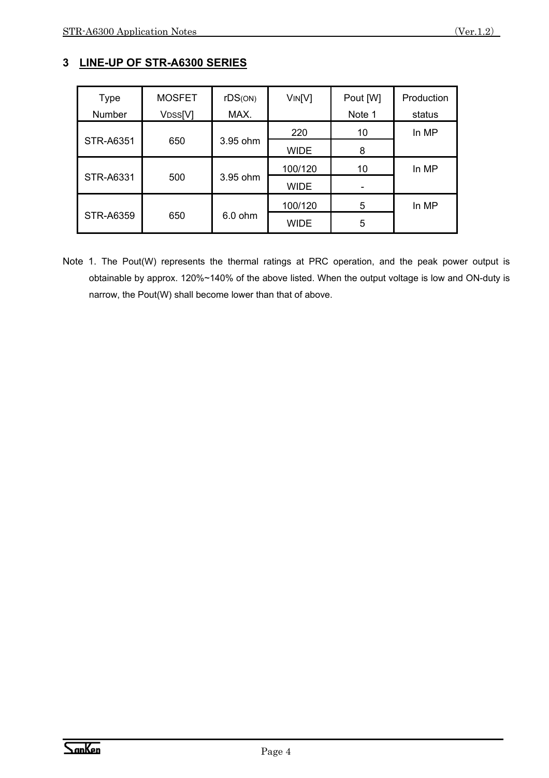# **3 LINE-UP OF STR-A6300 SERIES**

| <b>Type</b>      | <b>MOSFET</b>        | rDS(ON)   | VIN[V]      | Pout [W] | Production |
|------------------|----------------------|-----------|-------------|----------|------------|
| Number           | V <sub>DSS</sub> [V] | MAX.      |             | Note 1   | status     |
|                  |                      |           | 220         | 10       | In MP      |
| <b>STR-A6351</b> | 650                  | 3.95 ohm  | <b>WIDE</b> | 8        |            |
|                  |                      |           | 100/120     | 10       | In MP      |
| STR-A6331<br>500 |                      | 3.95 ohm  | <b>WIDE</b> |          |            |
|                  |                      |           | 100/120     | 5        | In MP      |
| <b>STR-A6359</b> | 650                  | $6.0$ ohm | <b>WIDE</b> | 5        |            |

Note 1. The Pout(W) represents the thermal ratings at PRC operation, and the peak power output is obtainable by approx. 120%~140% of the above listed. When the output voltage is low and ON-duty is narrow, the Pout(W) shall become lower than that of above.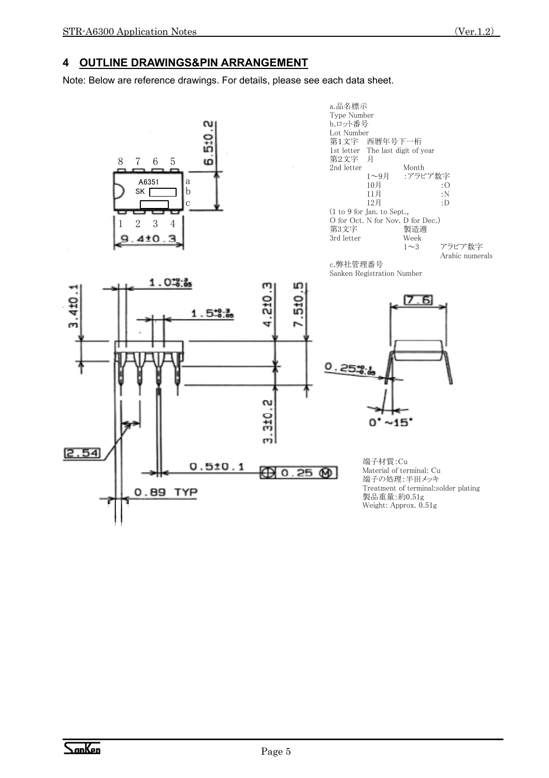#### **4 OUTLINE DRAWINGS&PIN ARRANGEMENT**

Note: Below are reference drawings. For details, please see each data sheet.



a.品名標示 Type Number b.ロット番号 Lot Number 第1文字 西暦年号下一桁 1st letter The last digit of year 第2文字 月 2nd letter Month<br>
1〜9月 :アラビ :アラビア数字 10月 :O 11月 :N<br>12月 :D 12月 (1 to 9 for Jan. to Sept., O for Oct. N for Nov. D for Dec.)<br>第3文字 製造週 第3文字 3rd letter Week アラビア数字 Arabic numerals





 $0^* \sim 15^*$ 端子材質:Cu Material of terminal: Cu 端子の処理:半田メッキ Treatment of terminal:solder plating 製品重量:約0.51g

61 ד

Weight: Approx. 0.51g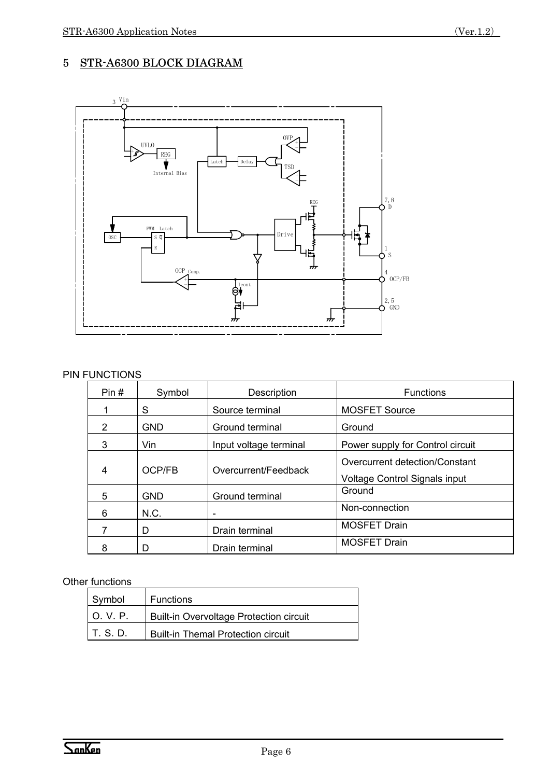# 5 STR-A6300 BLOCK DIAGRAM



#### PIN FUNCTIONS

| Pin#          | Symbol     | Description            | <b>Functions</b>                                                |
|---------------|------------|------------------------|-----------------------------------------------------------------|
|               | S          | Source terminal        | <b>MOSFET Source</b>                                            |
| $\mathcal{P}$ | <b>GND</b> | Ground terminal        | Ground                                                          |
| 3             | Vin        | Input voltage terminal | Power supply for Control circuit                                |
| 4             | OCP/FB     | Overcurrent/Feedback   | Overcurrent detection/Constant<br>Voltage Control Signals input |
| 5             | <b>GND</b> | Ground terminal        | Ground                                                          |
| 6             | N.C.       | -                      | Non-connection                                                  |
|               | D          | Drain terminal         | <b>MOSFET Drain</b>                                             |
| 8             | D          | Drain terminal         | <b>MOSFET Drain</b>                                             |

#### Other functions

| Symbol     | <b>Functions</b>                        |
|------------|-----------------------------------------|
| I O. V. P. | Built-in Overvoltage Protection circuit |
| T. S. D.   | Built-in Themal Protection circuit      |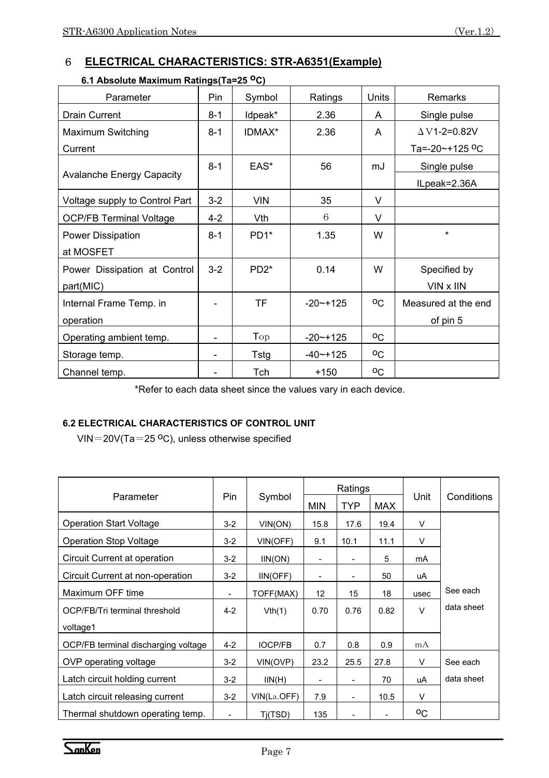# 6 **ELECTRICAL CHARACTERISTICS: STR-A6351(Example)**

| Parameter                        | Pin            | Symbol     | Ratings       | Units        | Remarks                    |
|----------------------------------|----------------|------------|---------------|--------------|----------------------------|
| <b>Drain Current</b>             | $8 - 1$        | Idpeak*    | 2.36          | A            | Single pulse               |
| <b>Maximum Switching</b>         | $8 - 1$        | IDMAX*     | 2.36          | A            | $\Delta$ V1-2=0.82V        |
| Current                          |                |            |               |              | Ta=-20~+125 <sup>o</sup> C |
|                                  | $8 - 1$        | EAS*       | 56            | mJ           | Single pulse               |
| <b>Avalanche Energy Capacity</b> |                |            |               |              | ILpeak=2.36A               |
| Voltage supply to Control Part   | $3 - 2$        | <b>VIN</b> | 35            | V            |                            |
| <b>OCP/FB Terminal Voltage</b>   | $4 - 2$        | Vth        | 6             | V            |                            |
| <b>Power Dissipation</b>         | $8 - 1$        | PD1*       | 1.35          | W            | $\star$                    |
| at MOSFET                        |                |            |               |              |                            |
| Power Dissipation at Control     | $3-2$          | $PD2*$     | 0.14          | W            | Specified by               |
| part(MIC)                        |                |            |               |              | VIN x IIN                  |
| Internal Frame Temp. in          |                | <b>TF</b>  | $-20$ $-+125$ | $^{\circ}$ C | Measured at the end        |
| operation                        |                |            |               |              | of pin 5                   |
| Operating ambient temp.          | $\overline{a}$ | Top        | $-20$ $-+125$ | $^{\circ}$ C |                            |
| Storage temp.                    |                | Tstg       | $-40$ $-+125$ | $^{\circ}$ C |                            |
| Channel temp.                    |                | Tch        | $+150$        | $^{\circ}$ C |                            |

#### **6.1 Absolute Maximum Ratings(Ta=25 oC)**

\*Refer to each data sheet since the values vary in each device.

#### **6.2 ELECTRICAL CHARACTERISTICS OF CONTROL UNIT**

VIN=20V(Ta=25  $^{\circ}$ C), unless otherwise specified

|                                     |         | Symbol         | Ratings                  |                              |            |              |            |
|-------------------------------------|---------|----------------|--------------------------|------------------------------|------------|--------------|------------|
| Parameter                           | Pin     |                | <b>MIN</b>               | <b>TYP</b>                   | <b>MAX</b> | Unit         | Conditions |
| <b>Operation Start Voltage</b>      | $3 - 2$ | VIN(ON)        | 15.8                     | 17.6                         | 19.4       | $\vee$       |            |
| <b>Operation Stop Voltage</b>       | $3-2$   | VIN(OFF)       | 9.1                      | 10.1                         | 11.1       | V            |            |
| Circuit Current at operation        | $3 - 2$ | IIN(ON)        | $\overline{\phantom{a}}$ | $\qquad \qquad \blacksquare$ | 5          | mA           |            |
| Circuit Current at non-operation    | $3-2$   | IIN(OFF)       | -                        | -                            | 50         | uA           |            |
| Maximum OFF time                    |         | TOFF(MAX)      | 12                       | 15                           | 18         | usec         | See each   |
| OCP/FB/Tri terminal threshold       | $4 - 2$ | Vth(1)         | 0.70                     | 0.76                         | 0.82       | $\vee$       | data sheet |
| voltage1                            |         |                |                          |                              |            |              |            |
| OCP/FB terminal discharging voltage | $4 - 2$ | <b>IOCP/FB</b> | 0.7                      | 0.8                          | 0.9        | mA           |            |
| OVP operating voltage               | $3 - 2$ | VIN(OVP)       | 23.2                     | 25.5                         | 27.8       | V            | See each   |
| Latch circuit holding current       | $3 - 2$ | IIN(H)         | -                        |                              | 70         | uA           | data sheet |
| Latch circuit releasing current     | $3-2$   | VIN(La.OFF)    | 7.9                      | $\overline{\phantom{0}}$     | 10.5       | V            |            |
| Thermal shutdown operating temp.    |         | Ti(TSD)        | 135                      |                              |            | $^{\circ}$ C |            |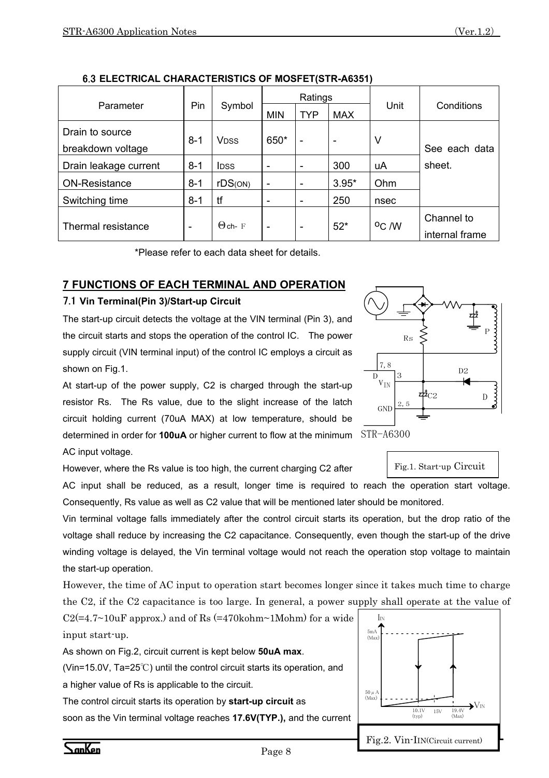|                       |         | Symbol                  |            | Ratings                  |            |                   | Conditions              |  |
|-----------------------|---------|-------------------------|------------|--------------------------|------------|-------------------|-------------------------|--|
| Parameter             | Pin     |                         | <b>MIN</b> | <b>TYP</b>               | <b>MAX</b> | Unit              |                         |  |
| Drain to source       |         |                         |            |                          |            |                   |                         |  |
| breakdown voltage     | $8 - 1$ | <b>V</b> <sub>DSS</sub> | 650*       | $\overline{\phantom{0}}$ | ٠          | V                 | See each data<br>sheet. |  |
| Drain leakage current | $8 - 1$ | <b>IDSS</b>             |            | ٠                        | 300        | uA                |                         |  |
| <b>ON-Resistance</b>  | $8 - 1$ | rDS(ON)                 | -          | ٠                        | $3.95*$    | Ohm               |                         |  |
| Switching time        | $8 - 1$ | tf                      | ۰          | ۰                        | 250        | nsec              |                         |  |
|                       |         | $\Theta$ ch- F          |            |                          |            | <sup>o</sup> C /W | Channel to              |  |
| Thermal resistance    | -       |                         | -          | $\overline{\phantom{0}}$ | $52*$      |                   | internal frame          |  |

6.3 **ELECTRICAL CHARACTERISTICS OF MOSFET(STR-A6351)** 

\*Please refer to each data sheet for details.

## **7 FUNCTIONS OF EACH TERMINAL AND OPERATION**

#### 7.1 **Vin Terminal(Pin 3)/Start-up Circuit**

The start-up circuit detects the voltage at the VIN terminal (Pin 3), and the circuit starts and stops the operation of the control IC. The power supply circuit (VIN terminal input) of the control IC employs a circuit as shown on Fig.1.

At start-up of the power supply, C2 is charged through the start-up resistor Rs. The Rs value, due to the slight increase of the latch circuit holding current (70uA MAX) at low temperature, should be determined in order for **100uA** or higher current to flow at the minimum STR-A6300 AC input voltage.

However, where the Rs value is too high, the current charging C2 after

AC input shall be reduced, as a result, longer time is required to reach the operation start voltage. Consequently, Rs value as well as C2 value that will be mentioned later should be monitored.

Vin terminal voltage falls immediately after the control circuit starts its operation, but the drop ratio of the voltage shall reduce by increasing the C2 capacitance. Consequently, even though the start-up of the drive winding voltage is delayed, the Vin terminal voltage would not reach the operation stop voltage to maintain the start-up operation.

However, the time of AC input to operation start becomes longer since it takes much time to charge the C2, if the C2 capacitance is too large. In general, a power supply shall operate at the value of

| $C2 (=4.7~10$ uF approx.) and of Rs $(=470$ kohm~1Mohm) for a wide |  |  |  |
|--------------------------------------------------------------------|--|--|--|
| input start-up.                                                    |  |  |  |

As shown on Fig.2, circuit current is kept below **50uA max**.

(Vin=15.0V, Ta=25℃) until the control circuit starts its operation, and

a higher value of Rs is applicable to the circuit.

The control circuit starts its operation by **start-up circuit** as soon as the Vin terminal voltage reaches **17.6V(TYP.),** and the current



D

GND

 $V_{\text{IN}}$ 7,8 Rs

2,5

3



P

D2

C2 D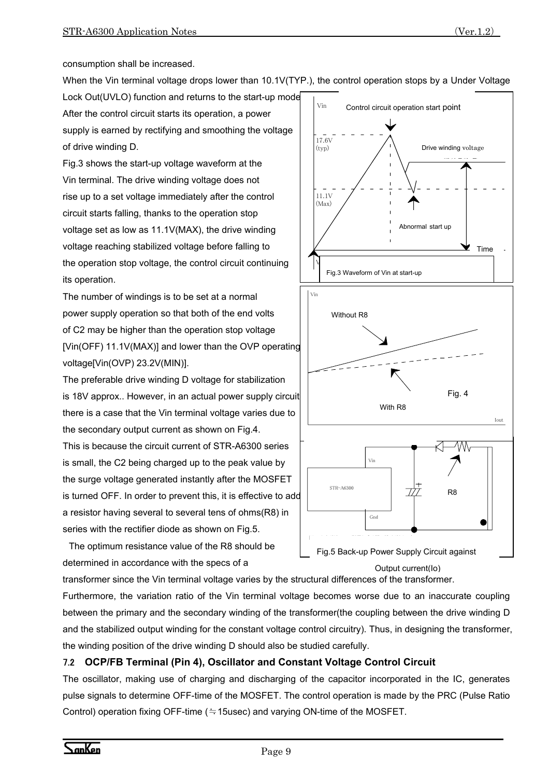consumption shall be increased.

When the Vin terminal voltage drops lower than 10.1V(TYP.), the control operation stops by a Under Voltage

Lock Out(UVLO) function and returns to the start-up mode After the control circuit starts its operation, a power supply is earned by rectifying and smoothing the voltage of drive winding D.

Fig.3 shows the start-up voltage waveform at the Vin terminal. The drive winding voltage does not rise up to a set voltage immediately after the control circuit starts falling, thanks to the operation stop voltage set as low as 11.1V(MAX), the drive winding voltage reaching stabilized voltage before falling to the operation stop voltage, the control circuit continuing its operation.

The number of windings is to be set at a normal power supply operation so that both of the end volts of C2 may be higher than the operation stop voltage [Vin(OFF) 11.1V(MAX)] and lower than the OVP operating voltage[Vin(OVP) 23.2V(MIN)].

The preferable drive winding D voltage for stabilization is 18V approx.. However, in an actual power supply circuit there is a case that the Vin terminal voltage varies due to the secondary output current as shown on Fig.4.

This is because the circuit current of STR-A6300 series is small, the C2 being charged up to the peak value by the surge voltage generated instantly after the MOSFET is turned OFF. In order to prevent this, it is effective to add a resistor having several to several tens of ohms(R8) in series with the rectifier diode as shown on Fig.5.

The optimum resistance value of the R8 should be determined in accordance with the specs of a



transformer since the Vin terminal voltage varies by the structural differences of the transformer.

Furthermore, the variation ratio of the Vin terminal voltage becomes worse due to an inaccurate coupling between the primary and the secondary winding of the transformer(the coupling between the drive winding D and the stabilized output winding for the constant voltage control circuitry). Thus, in designing the transformer, the winding position of the drive winding D should also be studied carefully.

#### 7.2 **OCP/FB Terminal (Pin 4), Oscillator and Constant Voltage Control Circuit**

The oscillator, making use of charging and discharging of the capacitor incorporated in the IC, generates pulse signals to determine OFF-time of the MOSFET. The control operation is made by the PRC (Pulse Ratio Control) operation fixing OFF-time (≒15usec) and varying ON-time of the MOSFET.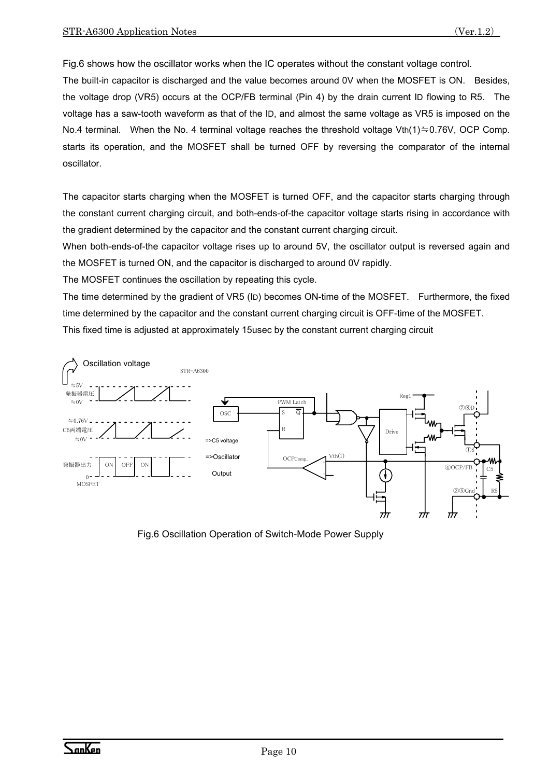Fig.6 shows how the oscillator works when the IC operates without the constant voltage control.

The built-in capacitor is discharged and the value becomes around 0V when the MOSFET is ON. Besides, the voltage drop (VR5) occurs at the OCP/FB terminal (Pin 4) by the drain current ID flowing to R5. The voltage has a saw-tooth waveform as that of the ID, and almost the same voltage as VR5 is imposed on the No.4 terminal. When the No. 4 terminal voltage reaches the threshold voltage Vth(1)≒0.76V, OCP Comp. starts its operation, and the MOSFET shall be turned OFF by reversing the comparator of the internal oscillator.

The capacitor starts charging when the MOSFET is turned OFF, and the capacitor starts charging through the constant current charging circuit, and both-ends-of-the capacitor voltage starts rising in accordance with the gradient determined by the capacitor and the constant current charging circuit.

When both-ends-of-the capacitor voltage rises up to around 5V, the oscillator output is reversed again and the MOSFET is turned ON, and the capacitor is discharged to around 0V rapidly.

The MOSFET continues the oscillation by repeating this cycle.

The time determined by the gradient of VR5 (ID) becomes ON-time of the MOSFET. Furthermore, the fixed time determined by the capacitor and the constant current charging circuit is OFF-time of the MOSFET. This fixed time is adjusted at approximately 15usec by the constant current charging circuit



Fig.6 Oscillation Operation of Switch-Mode Power Supply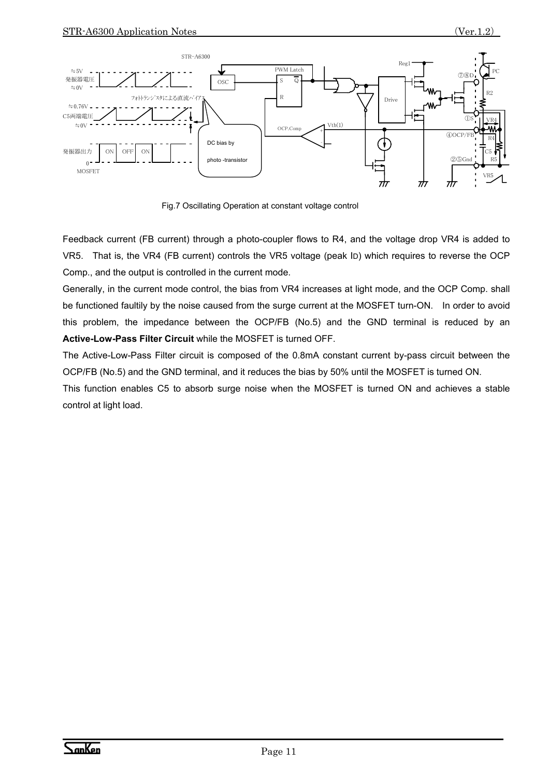

Fig.7 Oscillating Operation at constant voltage control

Feedback current (FB current) through a photo-coupler flows to R4, and the voltage drop VR4 is added to VR5. That is, the VR4 (FB current) controls the VR5 voltage (peak ID) which requires to reverse the OCP Comp., and the output is controlled in the current mode.

Generally, in the current mode control, the bias from VR4 increases at light mode, and the OCP Comp. shall be functioned faultily by the noise caused from the surge current at the MOSFET turn-ON. In order to avoid this problem, the impedance between the OCP/FB (No.5) and the GND terminal is reduced by an **Active-Low-Pass Filter Circuit** while the MOSFET is turned OFF.

The Active-Low-Pass Filter circuit is composed of the 0.8mA constant current by-pass circuit between the OCP/FB (No.5) and the GND terminal, and it reduces the bias by 50% until the MOSFET is turned ON.

This function enables C5 to absorb surge noise when the MOSFET is turned ON and achieves a stable control at light load.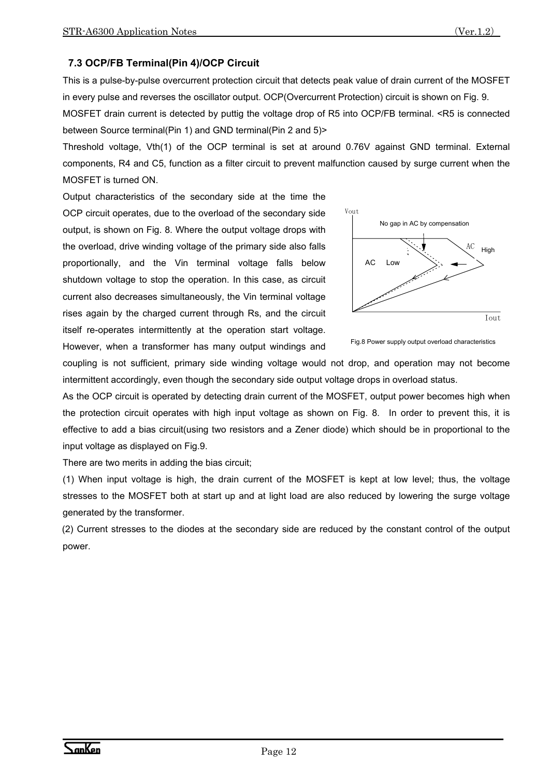#### **7.3 OCP/FB Terminal(Pin 4)/OCP Circuit**

This is a pulse-by-pulse overcurrent protection circuit that detects peak value of drain current of the MOSFET in every pulse and reverses the oscillator output. OCP(Overcurrent Protection) circuit is shown on Fig. 9.

MOSFET drain current is detected by puttig the voltage drop of R5 into OCP/FB terminal. <R5 is connected between Source terminal(Pin 1) and GND terminal(Pin 2 and 5)>

Threshold voltage, Vth(1) of the OCP terminal is set at around 0.76V against GND terminal. External components, R4 and C5, function as a filter circuit to prevent malfunction caused by surge current when the MOSFET is turned ON.

Output characteristics of the secondary side at the time the OCP circuit operates, due to the overload of the secondary side output, is shown on Fig. 8. Where the output voltage drops with the overload, drive winding voltage of the primary side also falls proportionally, and the Vin terminal voltage falls below shutdown voltage to stop the operation. In this case, as circuit current also decreases simultaneously, the Vin terminal voltage rises again by the charged current through Rs, and the circuit itself re-operates intermittently at the operation start voltage. However, when a transformer has many output windings and





coupling is not sufficient, primary side winding voltage would not drop, and operation may not become intermittent accordingly, even though the secondary side output voltage drops in overload status.

As the OCP circuit is operated by detecting drain current of the MOSFET, output power becomes high when the protection circuit operates with high input voltage as shown on Fig. 8. In order to prevent this, it is effective to add a bias circuit(using two resistors and a Zener diode) which should be in proportional to the input voltage as displayed on Fig.9.

There are two merits in adding the bias circuit;

(1) When input voltage is high, the drain current of the MOSFET is kept at low level; thus, the voltage stresses to the MOSFET both at start up and at light load are also reduced by lowering the surge voltage generated by the transformer.

(2) Current stresses to the diodes at the secondary side are reduced by the constant control of the output power.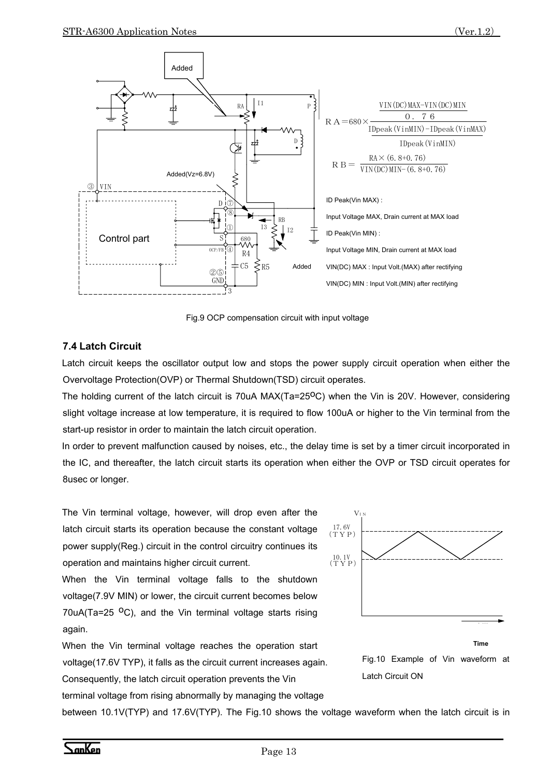

Fig.9 OCP compensation circuit with input voltage

#### **7.4 Latch Circuit**

Latch circuit keeps the oscillator output low and stops the power supply circuit operation when either the Overvoltage Protection(OVP) or Thermal Shutdown(TSD) circuit operates.

The holding current of the latch circuit is 70uA  $MAX(Ta=25^{\circ}C)$  when the Vin is 20V. However, considering slight voltage increase at low temperature, it is required to flow 100uA or higher to the Vin terminal from the start-up resistor in order to maintain the latch circuit operation.

In order to prevent malfunction caused by noises, etc., the delay time is set by a timer circuit incorporated in the IC, and thereafter, the latch circuit starts its operation when either the OVP or TSD circuit operates for 8usec or longer.

The Vin terminal voltage, however, will drop even after the latch circuit starts its operation because the constant voltage power supply(Reg.) circuit in the control circuitry continues its operation and maintains higher circuit current.

When the Vin terminal voltage falls to the shutdown voltage(7.9V MIN) or lower, the circuit current becomes below 70uA(Ta=25  $^{\circ}$ C), and the Vin terminal voltage starts rising again.

When the Vin terminal voltage reaches the operation start voltage(17.6V TYP), it falls as the circuit current increases again. Consequently, the latch circuit operation prevents the Vin





between 10.1V(TYP) and 17.6V(TYP). The Fig.10 shows the voltage waveform when the latch circuit is in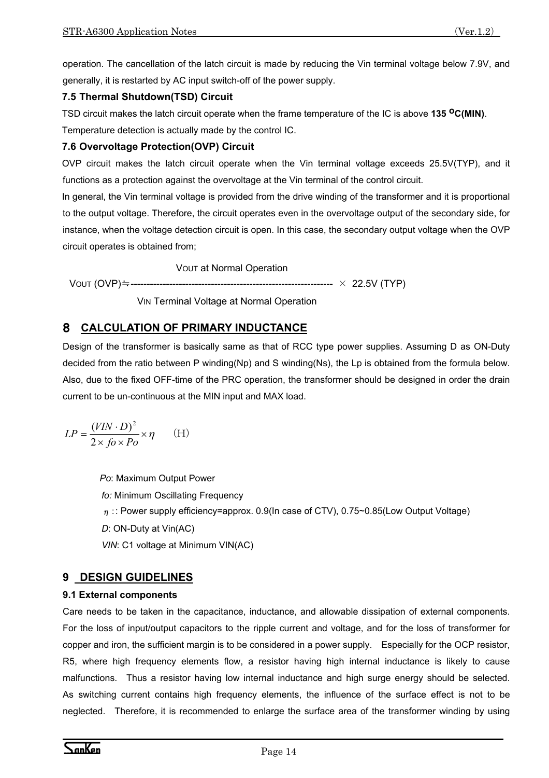operation. The cancellation of the latch circuit is made by reducing the Vin terminal voltage below 7.9V, and generally, it is restarted by AC input switch-off of the power supply.

#### **7.5 Thermal Shutdown(TSD) Circuit**

TSD circuit makes the latch circuit operate when the frame temperature of the IC is above **135 oC(MIN)**.

Temperature detection is actually made by the control IC.

#### **7.6 Overvoltage Protection(OVP) Circuit**

OVP circuit makes the latch circuit operate when the Vin terminal voltage exceeds 25.5V(TYP), and it functions as a protection against the overvoltage at the Vin terminal of the control circuit.

In general, the Vin terminal voltage is provided from the drive winding of the transformer and it is proportional to the output voltage. Therefore, the circuit operates even in the overvoltage output of the secondary side, for instance, when the voltage detection circuit is open. In this case, the secondary output voltage when the OVP circuit operates is obtained from;

VOUT at Normal Operation

VOUT (OVP)≒--------------------------------------------------------------- × 22.5V (TYP)

VIN Terminal Voltage at Normal Operation

# 8 **CALCULATION OF PRIMARY INDUCTANCE**

Design of the transformer is basically same as that of RCC type power supplies. Assuming D as ON-Duty decided from the ratio between P winding(Np) and S winding(Ns), the Lp is obtained from the formula below. Also, due to the fixed OFF-time of the PRC operation, the transformer should be designed in order the drain current to be un-continuous at the MIN input and MAX load.

$$
LP = \frac{(VIN \cdot D)^2}{2 \times f \circ \times Po} \times \eta
$$
 (H)

 *Po*: Maximum Output Power *fo:* Minimum Oscillating Frequency  $\eta$ : Power supply efficiency=approx. 0.9(In case of CTV), 0.75~0.85(Low Output Voltage) *D*: ON-Duty at Vin(AC) *VIN*: C1 voltage at Minimum VIN(AC)

# **9 DESIGN GUIDELINES**

#### **9.1 External components**

Care needs to be taken in the capacitance, inductance, and allowable dissipation of external components. For the loss of input/output capacitors to the ripple current and voltage, and for the loss of transformer for copper and iron, the sufficient margin is to be considered in a power supply. Especially for the OCP resistor, R5, where high frequency elements flow, a resistor having high internal inductance is likely to cause malfunctions. Thus a resistor having low internal inductance and high surge energy should be selected. As switching current contains high frequency elements, the influence of the surface effect is not to be neglected. Therefore, it is recommended to enlarge the surface area of the transformer winding by using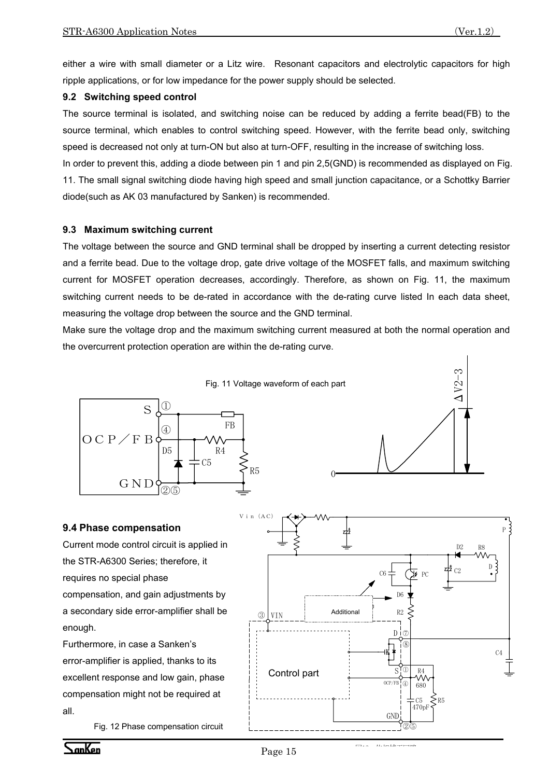either a wire with small diameter or a Litz wire. Resonant capacitors and electrolytic capacitors for high ripple applications, or for low impedance for the power supply should be selected.

#### **9.2 Switching speed control**

The source terminal is isolated, and switching noise can be reduced by adding a ferrite bead(FB) to the source terminal, which enables to control switching speed. However, with the ferrite bead only, switching speed is decreased not only at turn-ON but also at turn-OFF, resulting in the increase of switching loss.

In order to prevent this, adding a diode between pin 1 and pin 2,5(GND) is recommended as displayed on Fig. 11. The small signal switching diode having high speed and small junction capacitance, or a Schottky Barrier diode(such as AK 03 manufactured by Sanken) is recommended.

#### **9.3 Maximum switching current**

The voltage between the source and GND terminal shall be dropped by inserting a current detecting resistor and a ferrite bead. Due to the voltage drop, gate drive voltage of the MOSFET falls, and maximum switching current for MOSFET operation decreases, accordingly. Therefore, as shown on Fig. 11, the maximum switching current needs to be de-rated in accordance with the de-rating curve listed In each data sheet, measuring the voltage drop between the source and the GND terminal.

Make sure the voltage drop and the maximum switching current measured at both the normal operation and the overcurrent protection operation are within the de-rating curve.

0





#### **9.4 Phase compensation**

Current mode control circuit is applied in the STR-A6300 Series; therefore, it requires no special phase compensation, and gain adjustments by a secondary side error-amplifier shall be enough.

Furthermore, in case a Sanken's error-amplifier is applied, thanks to its excellent response and low gain, phase compensation might not be required at all.

Fig. 12 Phase compensation circuit



<del>w</del>ala dibedare⊟na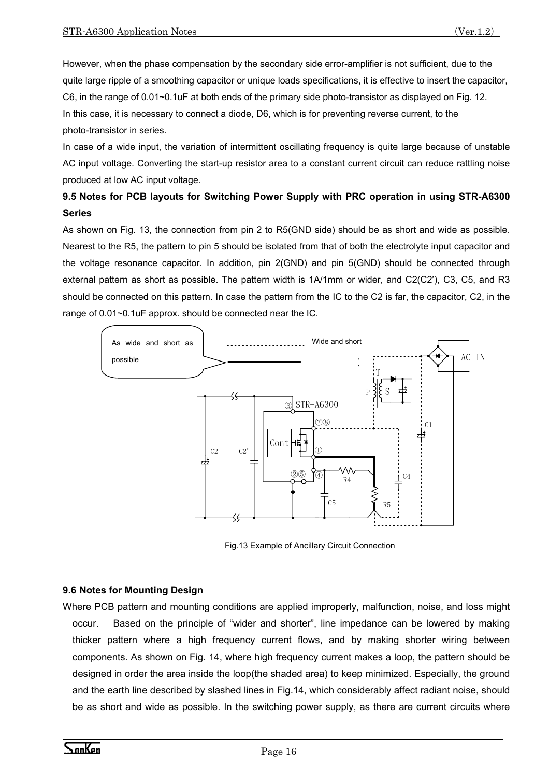However, when the phase compensation by the secondary side error-amplifier is not sufficient, due to the quite large ripple of a smoothing capacitor or unique loads specifications, it is effective to insert the capacitor, C6, in the range of 0.01~0.1uF at both ends of the primary side photo-transistor as displayed on Fig. 12. In this case, it is necessary to connect a diode, D6, which is for preventing reverse current, to the photo-transistor in series.

In case of a wide input, the variation of intermittent oscillating frequency is quite large because of unstable AC input voltage. Converting the start-up resistor area to a constant current circuit can reduce rattling noise produced at low AC input voltage.

# **9.5 Notes for PCB layouts for Switching Power Supply with PRC operation in using STR-A6300 Series**

As shown on Fig. 13, the connection from pin 2 to R5(GND side) should be as short and wide as possible. Nearest to the R5, the pattern to pin 5 should be isolated from that of both the electrolyte input capacitor and the voltage resonance capacitor. In addition, pin 2(GND) and pin 5(GND) should be connected through external pattern as short as possible. The pattern width is 1A/1mm or wider, and C2(C2'), C3, C5, and R3 should be connected on this pattern. In case the pattern from the IC to the C2 is far, the capacitor, C2, in the range of 0.01~0.1uF approx. should be connected near the IC.



Fig.13 Example of Ancillary Circuit Connection

#### **9.6 Notes for Mounting Design**

Where PCB pattern and mounting conditions are applied improperly, malfunction, noise, and loss might occur. Based on the principle of "wider and shorter", line impedance can be lowered by making thicker pattern where a high frequency current flows, and by making shorter wiring between components. As shown on Fig. 14, where high frequency current makes a loop, the pattern should be designed in order the area inside the loop(the shaded area) to keep minimized. Especially, the ground and the earth line described by slashed lines in Fig.14, which considerably affect radiant noise, should be as short and wide as possible. In the switching power supply, as there are current circuits where